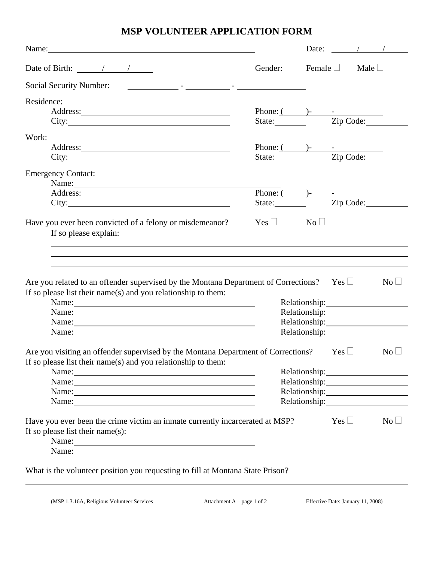## **MSP VOLUNTEER APPLICATION FORM**

| Name: $\qquad \qquad$                                                                                                                                                                                                          |                                 |                           |            | Date: $\frac{1}{\sqrt{1-\frac{1}{2}}}\sqrt{1-\frac{1}{2}}$ |
|--------------------------------------------------------------------------------------------------------------------------------------------------------------------------------------------------------------------------------|---------------------------------|---------------------------|------------|------------------------------------------------------------|
| Date of Birth: $\frac{\sqrt{2}}{2}$                                                                                                                                                                                            | Gender:                         | Female $\Box$ Male $\Box$ |            |                                                            |
| Social Security Number:<br><u> 1986 - Jan Berlin, film ann an t-Amerikaansk kommunister (* 1908)</u>                                                                                                                           |                                 |                           |            |                                                            |
| Residence:                                                                                                                                                                                                                     |                                 |                           |            |                                                            |
|                                                                                                                                                                                                                                |                                 |                           |            |                                                            |
|                                                                                                                                                                                                                                | Phone: ( )-<br>State: Zip Code: |                           |            |                                                            |
| Work:                                                                                                                                                                                                                          |                                 |                           |            |                                                            |
|                                                                                                                                                                                                                                | Phone: $($ $)$ - $-$            |                           |            |                                                            |
| City:                                                                                                                                                                                                                          | State: <u>Zip Code:</u>         |                           |            |                                                            |
|                                                                                                                                                                                                                                |                                 |                           |            |                                                            |
| <b>Emergency Contact:</b>                                                                                                                                                                                                      |                                 |                           |            |                                                            |
| Name:                                                                                                                                                                                                                          | Phone: $($ $)$ - $-$            |                           |            |                                                            |
|                                                                                                                                                                                                                                | State: Zip Code:                |                           |            |                                                            |
|                                                                                                                                                                                                                                |                                 |                           |            |                                                            |
| Have you ever been convicted of a felony or misdemeanor?                                                                                                                                                                       | $Yes \Box$ No $\Box$            |                           |            |                                                            |
|                                                                                                                                                                                                                                |                                 |                           |            |                                                            |
|                                                                                                                                                                                                                                |                                 |                           |            |                                                            |
|                                                                                                                                                                                                                                |                                 |                           |            |                                                            |
|                                                                                                                                                                                                                                |                                 |                           |            |                                                            |
|                                                                                                                                                                                                                                |                                 |                           |            |                                                            |
| Are you related to an offender supervised by the Montana Department of Corrections? Yes $\Box$                                                                                                                                 |                                 |                           |            | $\mathrm{No} \sqcup$                                       |
| If so please list their name(s) and you relationship to them:                                                                                                                                                                  |                                 |                           |            |                                                            |
| Name:                                                                                                                                                                                                                          |                                 |                           |            | Relationship: 2000                                         |
| Name: Name and the set of the set of the set of the set of the set of the set of the set of the set of the set of the set of the set of the set of the set of the set of the set of the set of the set of the set of the set o |                                 |                           |            |                                                            |
|                                                                                                                                                                                                                                |                                 |                           |            |                                                            |
|                                                                                                                                                                                                                                |                                 | Relationship:             |            |                                                            |
| Are you visiting an offender supervised by the Montana Department of Corrections? Yes $\Box$                                                                                                                                   |                                 |                           |            | $\rm No$ $\Box$                                            |
| If so please list their name(s) and you relationship to them:                                                                                                                                                                  |                                 |                           |            |                                                            |
|                                                                                                                                                                                                                                |                                 |                           |            | Relationship:                                              |
| Name: Name and the second contract of the second contract of the second contract of the second contract of the second contract of the second contract of the second contract of the second contract of the second contract of  |                                 |                           |            |                                                            |
|                                                                                                                                                                                                                                |                                 |                           |            |                                                            |
| Name: Name and the second contract of the second contract of the second contract of the second contract of the second contract of the second contract of the second contract of the second contract of the second contract of  |                                 |                           |            |                                                            |
| Name: Name and the second contract of the second contract of the second contract of the second contract of the second contract of the second contract of the second contract of the second contract of the second contract of  |                                 |                           |            |                                                            |
| Have you ever been the crime victim an inmate currently incarcerated at MSP?                                                                                                                                                   |                                 |                           | $Yes \Box$ | $\mathrm{No}\ \Box$                                        |
| If so please list their name $(s)$ :                                                                                                                                                                                           |                                 |                           |            |                                                            |
|                                                                                                                                                                                                                                |                                 |                           |            |                                                            |
| Name: Name and the set of the set of the set of the set of the set of the set of the set of the set of the set of the set of the set of the set of the set of the set of the set of the set of the set of the set of the set o |                                 |                           |            |                                                            |
|                                                                                                                                                                                                                                |                                 |                           |            |                                                            |
| What is the volunteer position you requesting to fill at Montana State Prison?                                                                                                                                                 |                                 |                           |            |                                                            |
|                                                                                                                                                                                                                                |                                 |                           |            |                                                            |